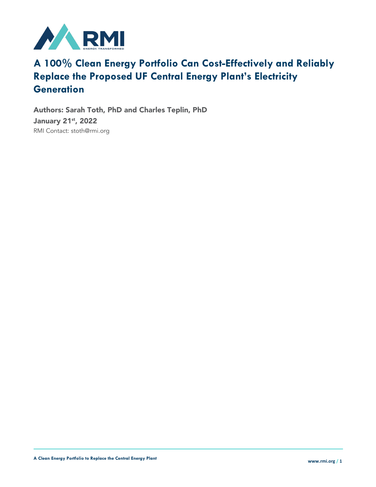

### **A 100% Clean Energy Portfolio Can Cost-Effectively and Reliably Replace the Proposed UF Central Energy Plant's Electricity Generation**

Authors: Sarah Toth, PhD and Charles Teplin, PhD January 21<sup>st</sup>, 2022 RMI Contact: stoth@rmi.org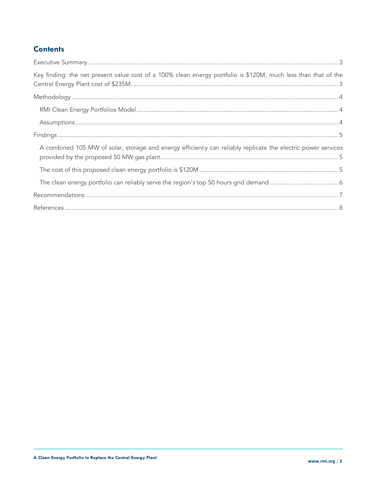### **Contents**

| Key finding: the net present value cost of a 100% clean energy portfolio is \$120M, much less than that of the |  |
|----------------------------------------------------------------------------------------------------------------|--|
|                                                                                                                |  |
|                                                                                                                |  |
|                                                                                                                |  |
|                                                                                                                |  |
| A combined 105 MW of solar, storage and energy efficiency can reliably replicate the electric power services   |  |
|                                                                                                                |  |
|                                                                                                                |  |
|                                                                                                                |  |
|                                                                                                                |  |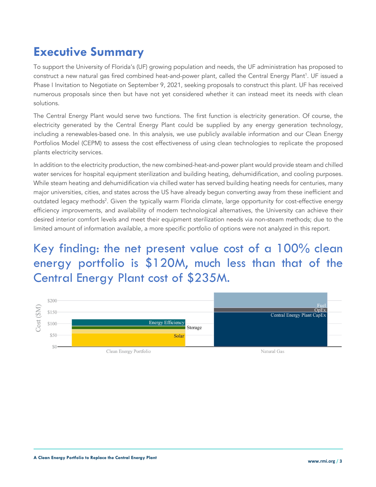# **Executive Summary**

To support the University of Florida's (UF) growing population and needs, the UF administration has proposed to construct a new natural gas fired combined heat-and-power plant, called the Central Energy Plant<sup>1</sup>. UF issued a Phase I Invitation to Negotiate on September 9, 2021, seeking proposals to construct this plant. UF has received numerous proposals since then but have not yet considered whether it can instead meet its needs with clean solutions.

The Central Energy Plant would serve two functions. The first function is electricity generation. Of course, the electricity generated by the Central Energy Plant could be supplied by any energy generation technology, including a renewables-based one. In this analysis, we use publicly available information and our Clean Energy Portfolios Model (CEPM) to assess the cost effectiveness of using clean technologies to replicate the proposed plants electricity services.

In addition to the electricity production, the new combined-heat-and-power plant would provide steam and chilled water services for hospital equipment sterilization and building heating, dehumidification, and cooling purposes. While steam heating and dehumidification via chilled water has served building heating needs for centuries, many major universities, cities, and states across the US have already begun converting away from these inefficient and outdated legacy methods<sup>2</sup>. Given the typically warm Florida climate, large opportunity for cost-effective energy efficiency improvements, and availability of modern technological alternatives, the University can achieve their desired interior comfort levels and meet their equipment sterilization needs via non-steam methods; due to the limited amount of information available, a more specific portfolio of options were not analyzed in this report.

Key finding: the net present value cost of a 100% clean energy portfolio is \$120M, much less than that of the Central Energy Plant cost of \$235M.

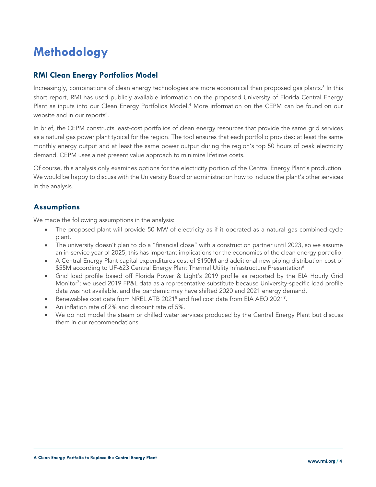# **Methodology**

### **RMI Clean Energy Portfolios Model**

Increasingly, combinations of clean energy technologies are more economical than proposed gas plants. <sup>3</sup> In this short report, RMI has used publicly available information on the proposed University of Florida Central Energy Plant as inputs into our Clean Energy Portfolios Model. <sup>4</sup> More information on the CEPM can be found on our website and in our reports<sup>5</sup>.

In brief, the CEPM constructs least-cost portfolios of clean energy resources that provide the same grid services as a natural gas power plant typical for the region. The tool ensures that each portfolio provides: at least the same monthly energy output and at least the same power output during the region's top 50 hours of peak electricity demand. CEPM uses a net present value approach to minimize lifetime costs.

Of course, this analysis only examines options for the electricity portion of the Central Energy Plant's production. We would be happy to discuss with the University Board or administration how to include the plant's other services in the analysis.

#### **Assumptions**

We made the following assumptions in the analysis:

- The proposed plant will provide 50 MW of electricity as if it operated as a natural gas combined-cycle plant.
- The university doesn't plan to do a "financial close" with a construction partner until 2023, so we assume an in-service year of 2025; this has important implications for the economics of the clean energy portfolio.
- A Central Energy Plant capital expenditures cost of \$150M and additional new piping distribution cost of  $\$55$ M according to UF-623 Central Energy Plant Thermal Utility Infrastructure Presentation $^6\!$ .
- Grid load profile based off Florida Power & Light's 2019 profile as reported by the EIA Hourly Grid Monitor<sup>7</sup>; we used 2019 FP&L data as a representative substitute because University-specific load profile data was not available, and the pandemic may have shifted 2020 and 2021 energy demand.
- Renewables cost data from NREL ATB 2021<sup>8</sup> and fuel cost data from EIA AEO 2021<sup>9</sup>.
- An inflation rate of 2% and discount rate of 5%.
- We do not model the steam or chilled water services produced by the Central Energy Plant but discuss them in our recommendations.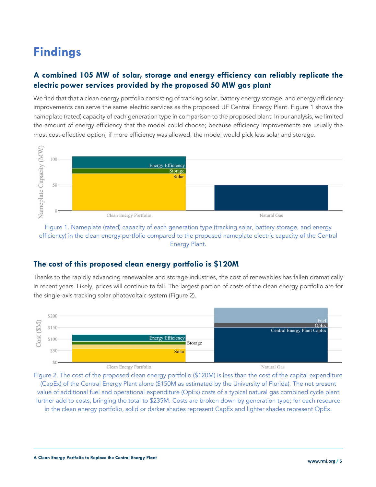# **Findings**

### **A combined 105 MW of solar, storage and energy efficiency can reliably replicate the electric power services provided by the proposed 50 MW gas plant**

We find that that a clean energy portfolio consisting of tracking solar, battery energy storage, and energy efficiency improvements can serve the same electric services as the proposed UF Central Energy Plant. Figure 1 shows the nameplate (rated) capacity of each generation type in comparison to the proposed plant. In our analysis, we limited the amount of energy efficiency that the model could choose; because efficiency improvements are usually the most cost-effective option, if more efficiency was allowed, the model would pick less solar and storage.



Figure 1. Nameplate (rated) capacity of each generation type (tracking solar, battery storage, and energy efficiency) in the clean energy portfolio compared to the proposed nameplate electric capacity of the Central Energy Plant.

#### **The cost of this proposed clean energy portfolio is \$120M**

Thanks to the rapidly advancing renewables and storage industries, the cost of renewables has fallen dramatically in recent years. Likely, prices will continue to fall. The largest portion of costs of the clean energy portfolio are for the single-axis tracking solar photovoltaic system (Figure 2).



Figure 2. The cost of the proposed clean energy portfolio (\$120M) is less than the cost of the capital expenditure (CapEx) of the Central Energy Plant alone (\$150M as estimated by the University of Florida). The net present value of additional fuel and operational expenditure (OpEx) costs of a typical natural gas combined cycle plant further add to costs, bringing the total to \$235M. Costs are broken down by generation type; for each resource in the clean energy portfolio, solid or darker shades represent CapEx and lighter shades represent OpEx.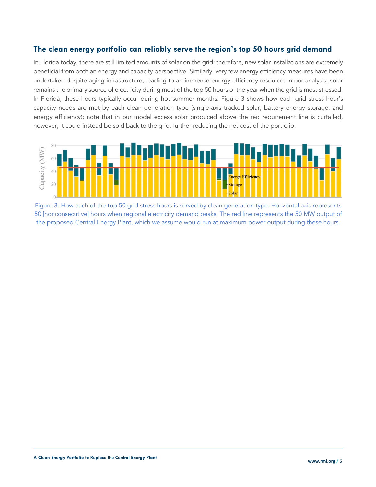#### **The clean energy portfolio can reliably serve the region's top 50 hours grid demand**

In Florida today, there are still limited amounts of solar on the grid; therefore, new solar installations are extremely beneficial from both an energy and capacity perspective. Similarly, very few energy efficiency measures have been undertaken despite aging infrastructure, leading to an immense energy efficiency resource. In our analysis, solar remains the primary source of electricity during most of the top 50 hours of the year when the grid is most stressed. In Florida, these hours typically occur during hot summer months. Figure 3 shows how each grid stress hour's capacity needs are met by each clean generation type (single-axis tracked solar, battery energy storage, and energy efficiency); note that in our model excess solar produced above the red requirement line is curtailed, however, it could instead be sold back to the grid, further reducing the net cost of the portfolio.



Figure 3: How each of the top 50 grid stress hours is served by clean generation type. Horizontal axis represents 50 [nonconsecutive] hours when regional electricity demand peaks. The red line represents the 50 MW output of the proposed Central Energy Plant, which we assume would run at maximum power output during these hours.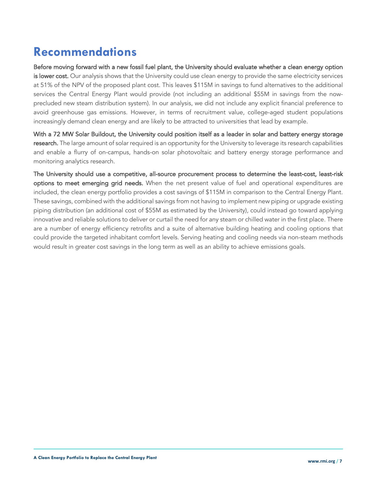### **Recommendations**

Before moving forward with a new fossil fuel plant, the University should evaluate whether a clean energy option is lower cost. Our analysis shows that the University could use clean energy to provide the same electricity services at 51% of the NPV of the proposed plant cost. This leaves \$115M in savings to fund alternatives to the additional services the Central Energy Plant would provide (not including an additional \$55M in savings from the nowprecluded new steam distribution system). In our analysis, we did not include any explicit financial preference to avoid greenhouse gas emissions. However, in terms of recruitment value, college-aged student populations increasingly demand clean energy and are likely to be attracted to universities that lead by example.

With a 72 MW Solar Buildout, the University could position itself as a leader in solar and battery energy storage research. The large amount of solar required is an opportunity for the University to leverage its research capabilities and enable a flurry of on-campus, hands-on solar photovoltaic and battery energy storage performance and monitoring analytics research.

The University should use a competitive, all-source procurement process to determine the least-cost, least-risk options to meet emerging grid needs. When the net present value of fuel and operational expenditures are included, the clean energy portfolio provides a cost savings of \$115M in comparison to the Central Energy Plant. These savings, combined with the additional savings from not having to implement new piping or upgrade existing piping distribution (an additional cost of \$55M as estimated by the University), could instead go toward applying innovative and reliable solutions to deliver or curtail the need for any steam or chilled water in the first place. There are a number of energy efficiency retrofits and a suite of alternative building heating and cooling options that could provide the targeted inhabitant comfort levels. Serving heating and cooling needs via non-steam methods would result in greater cost savings in the long term as well as an ability to achieve emissions goals.